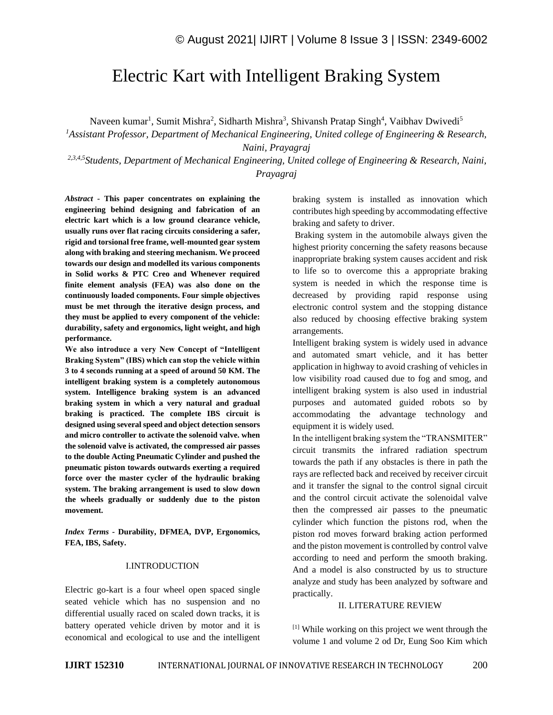# Electric Kart with Intelligent Braking System

Naveen kumar<sup>1</sup>, Sumit Mishra<sup>2</sup>, Sidharth Mishra<sup>3</sup>, Shivansh Pratap Singh<sup>4</sup>, Vaibhav Dwivedi<sup>5</sup>

*<sup>1</sup>Assistant Professor, Department of Mechanical Engineering*, *United college of Engineering & Research, Naini, Prayagraj*

*2,3,4,5Students, Department of Mechanical Engineering, United college of Engineering & Research, Naini, Prayagraj*

*Abstract -* **This paper concentrates on explaining the engineering behind designing and fabrication of an electric kart which is a low ground clearance vehicle, usually runs over flat racing circuits considering a safer, rigid and torsional free frame, well-mounted gear system along with braking and steering mechanism. We proceed towards our design and modelled its various components in Solid works & PTC Creo and Whenever required finite element analysis (FEA) was also done on the continuously loaded components. Four simple objectives must be met through the iterative design process, and they must be applied to every component of the vehicle: durability, safety and ergonomics, light weight, and high performance.**

**We also introduce a very New Concept of "Intelligent Braking System" (IBS) which can stop the vehicle within 3 to 4 seconds running at a speed of around 50 KM. The intelligent braking system is a completely autonomous system. Intelligence braking system is an advanced braking system in which a very natural and gradual braking is practiced. The complete IBS circuit is designed using several speed and object detection sensors and micro controller to activate the solenoid valve. when the solenoid valve is activated, the compressed air passes to the double Acting Pneumatic Cylinder and pushed the pneumatic piston towards outwards exerting a required force over the master cycler of the hydraulic braking system. The braking arrangement is used to slow down the wheels gradually or suddenly due to the piston movement.**

*Index Terms -* **Durability, DFMEA, DVP, Ergonomics, FEA, IBS, Safety.**

# I.INTRODUCTION

Electric go-kart is a four wheel open spaced single seated vehicle which has no suspension and no differential usually raced on scaled down tracks, it is battery operated vehicle driven by motor and it is economical and ecological to use and the intelligent braking system is installed as innovation which contributes high speeding by accommodating effective braking and safety to driver.

Braking system in the automobile always given the highest priority concerning the safety reasons because inappropriate braking system causes accident and risk to life so to overcome this a appropriate braking system is needed in which the response time is decreased by providing rapid response using electronic control system and the stopping distance also reduced by choosing effective braking system arrangements.

Intelligent braking system is widely used in advance and automated smart vehicle, and it has better application in highway to avoid crashing of vehicles in low visibility road caused due to fog and smog, and intelligent braking system is also used in industrial purposes and automated guided robots so by accommodating the advantage technology and equipment it is widely used.

In the intelligent braking system the "TRANSMITER" circuit transmits the infrared radiation spectrum towards the path if any obstacles is there in path the rays are reflected back and received by receiver circuit and it transfer the signal to the control signal circuit and the control circuit activate the solenoidal valve then the compressed air passes to the pneumatic cylinder which function the pistons rod, when the piston rod moves forward braking action performed and the piston movement is controlled by control valve according to need and perform the smooth braking. And a model is also constructed by us to structure analyze and study has been analyzed by software and practically.

#### II. LITERATURE REVIEW

[1] While working on this project we went through the volume 1 and volume 2 od Dr, Eung Soo Kim which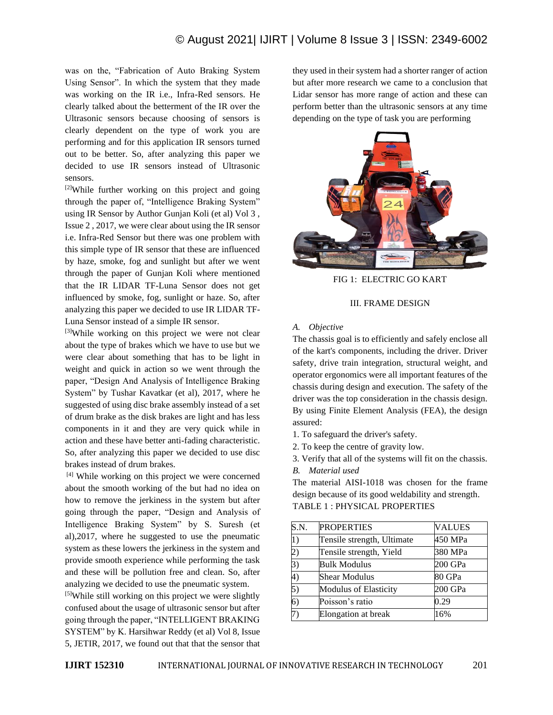# © August 2021| IJIRT | Volume 8 Issue 3 | ISSN: 2349-6002

was on the, "Fabrication of Auto Braking System Using Sensor". In which the system that they made was working on the IR i.e., Infra-Red sensors. He clearly talked about the betterment of the IR over the Ultrasonic sensors because choosing of sensors is clearly dependent on the type of work you are performing and for this application IR sensors turned out to be better. So, after analyzing this paper we decided to use IR sensors instead of Ultrasonic sensors.

[2]While further working on this project and going through the paper of, "Intelligence Braking System" using IR Sensor by Author Gunjan Koli (et al) Vol 3 , Issue 2 , 2017, we were clear about using the IR sensor i.e. Infra-Red Sensor but there was one problem with this simple type of IR sensor that these are influenced by haze, smoke, fog and sunlight but after we went through the paper of Gunjan Koli where mentioned that the IR LIDAR TF-Luna Sensor does not get influenced by smoke, fog, sunlight or haze. So, after analyzing this paper we decided to use IR LIDAR TF-Luna Sensor instead of a simple IR sensor.

[3]While working on this project we were not clear about the type of brakes which we have to use but we were clear about something that has to be light in weight and quick in action so we went through the paper, "Design And Analysis of Intelligence Braking System" by Tushar Kavatkar (et al), 2017, where he suggested of using disc brake assembly instead of a set of drum brake as the disk brakes are light and has less components in it and they are very quick while in action and these have better anti-fading characteristic. So, after analyzing this paper we decided to use disc brakes instead of drum brakes.

[4] While working on this project we were concerned about the smooth working of the but had no idea on how to remove the jerkiness in the system but after going through the paper, "Design and Analysis of Intelligence Braking System" by S. Suresh (et al),2017, where he suggested to use the pneumatic system as these lowers the jerkiness in the system and provide smooth experience while performing the task and these will be pollution free and clean. So, after analyzing we decided to use the pneumatic system.

[5]While still working on this project we were slightly confused about the usage of ultrasonic sensor but after going through the paper, "INTELLIGENT BRAKING SYSTEM" by K. Harsihwar Reddy (et al) Vol 8, Issue 5, JETIR, 2017, we found out that that the sensor that

they used in their system had a shorter ranger of action but after more research we came to a conclusion that Lidar sensor has more range of action and these can perform better than the ultrasonic sensors at any time depending on the type of task you are performing



FIG 1: ELECTRIC GO KART

#### III. FRAME DESIGN

*A. Objective*

The chassis goal is to efficiently and safely enclose all of the kart's components, including the driver. Driver safety, drive train integration, structural weight, and operator ergonomics were all important features of the chassis during design and execution. The safety of the driver was the top consideration in the chassis design. By using Finite Element Analysis (FEA), the design assured:

1. To safeguard the driver's safety.

2. To keep the centre of gravity low.

3. Verify that all of the systems will fit on the chassis. *B. Material used*

The material AISI-1018 was chosen for the frame design because of its good weldability and strength. TABLE 1 : PHYSICAL PROPERTIES

| S.N.           | <b>PROPERTIES</b>            | <b>VALUES</b> |
|----------------|------------------------------|---------------|
| $\vert 1)$     | Tensile strength, Ultimate   | 450 MPa       |
| 2)             | Tensile strength, Yield      | 380 MPa       |
| 3)             | <b>Bulk Modulus</b>          | 200 GPa       |
| 4)             | <b>Shear Modulus</b>         | 80 GPa        |
| 5)             | <b>Modulus of Elasticity</b> | 200 GPa       |
| $\overline{6}$ | Poisson's ratio              | 0.29          |
|                | Elongation at break          | 16%           |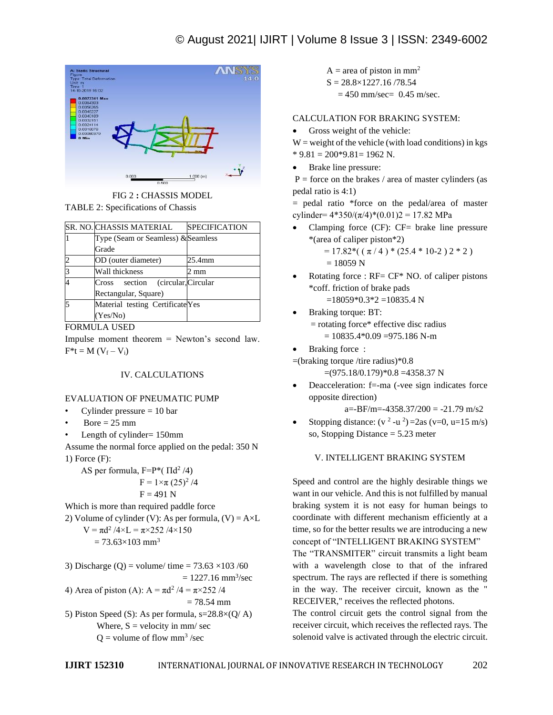# © August 2021| IJIRT | Volume 8 Issue 3 | ISSN: 2349-6002



FIG 2 **:** CHASSIS MODEL

TABLE 2: Specifications of Chassis

| <b>SR. NO. CHASSIS MATERIAL</b>    | <b>SPECIFICATION</b> |
|------------------------------------|----------------------|
| Type (Seam or Seamless) & Seamless |                      |
| Grade                              |                      |
| OD (outer diameter)                | 25.4mm               |
| Wall thickness                     | 2 mm                 |
| Cross section (circular, Circular  |                      |
| Rectangular, Square)               |                      |
| Material testing Certificate Yes   |                      |
| (Yes/No)                           |                      |

FORMULA USED

Impulse moment theorem = Newton's second law.  $F^*t = M (V_f - V_i)$ 

# IV. CALCULATIONS

#### EVALUATION OF PNEUMATIC PUMP

- Cylinder pressure  $= 10$  bar
- $Bore = 25$  mm
- Length of cylinder=  $150$ mm
- Assume the normal force applied on the pedal: 350 N 1) Force (F):

AS per formula,  $F = P^* ( \Pi d^2 / 4)$ 

$$
F = 1 \times \pi \ (25)^2 / 4
$$

$$
F = 491 N
$$

Which is more than required paddle force

2) Volume of cylinder (V): As per formula, (V) =  $A \times L$  $V = \pi d^2 / 4 \times L = \pi \times 252 / 4 \times 150$ 

$$
= 73.63 \times 103
$$
 mm<sup>3</sup>

3) Discharge (Q) = volume/ time =  $73.63 \times 103 / 60$  $= 1227.16$  mm<sup>3</sup>/sec

4) Area of piston (A):  $A = \pi d^2 / 4 = \pi \times 252 / 4$  $= 78.54$  mm

5) Piston Speed (S): As per formula,  $s=28.8\times (Q/A)$ Where,  $S =$  velocity in mm/ sec  $Q =$  volume of flow mm<sup>3</sup>/sec

- $A = \text{area of piston in mm}^2$
- $S = 28.8 \times 1227.16 / 78.54$ 
	- $= 450$  mm/sec= 0.45 m/sec.

# CALCULATION FOR BRAKING SYSTEM:

Gross weight of the vehicle:

 $W =$  weight of the vehicle (with load conditions) in kgs  $*$  9.81 = 200 $*$ 9.81 = 1962 N.

• Brake line pressure:

 $P =$  force on the brakes / area of master cylinders (as pedal ratio is 4:1)

= pedal ratio \*force on the pedal/area of master cylinder=  $4*350/(\pi/4)*(0.01)2 = 17.82$  MPa

• Clamping force (CF): CF= brake line pressure \*(area of caliper piston\*2)

 $= 17.82*( (\pi/4) * (25.4 * 10.2) 2 * 2)$ 

- $= 18059 N$
- Rotating force :  $RF = CF^* NO$ . of caliper pistons \*coff. friction of brake pads  $=18059*0.3*2=10835.4 N$
- Braking torque: BT: = rotating force\* effective disc radius  $= 10835.4*0.09 = 975.186$  N-m
- Braking force:

=(braking torque /tire radius)\*0.8

 $=(975.18/0.179)*0.8 = 4358.37 N$ 

• Deacceleration: f=-ma (-vee sign indicates force opposite direction)

 $a=-BF/m=-4358.37/200 = -21.79$  m/s2

• Stopping distance:  $(v^2 - u^2) = 2as(v=0, u=15 m/s)$ so, Stopping Distance = 5.23 meter

### V. INTELLIGENT BRAKING SYSTEM

Speed and control are the highly desirable things we want in our vehicle. And this is not fulfilled by manual braking system it is not easy for human beings to coordinate with different mechanism efficiently at a time, so for the better results we are introducing a new concept of "INTELLIGENT BRAKING SYSTEM"

The "TRANSMITER" circuit transmits a light beam with a wavelength close to that of the infrared spectrum. The rays are reflected if there is something in the way. The receiver circuit, known as the " RECEIVER," receives the reflected photons.

The control circuit gets the control signal from the receiver circuit, which receives the reflected rays. The solenoid valve is activated through the electric circuit.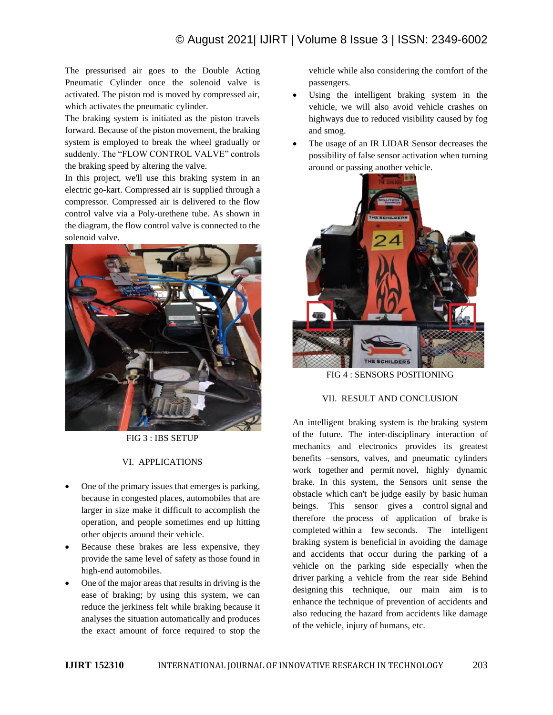# © August 2021| IJIRT | Volume 8 Issue 3 | ISSN: 2349-6002

The pressurised air goes to the Double Acting Pneumatic Cylinder once the solenoid valve is activated. The piston rod is moved by compressed air, which activates the pneumatic cylinder.

The braking system is initiated as the piston travels forward. Because of the piston movement, the braking system is employed to break the wheel gradually or suddenly. The "FLOW CONTROL VALVE" controls the braking speed by altering the valve.

In this project, we'll use this braking system in an electric go-kart. Compressed air is supplied through a compressor. Compressed air is delivered to the flow control valve via a Poly-urethene tube. As shown in the diagram, the flow control valve is connected to the solenoid valve.



FIG 3 : IBS SETUP

## VI. APPLICATIONS

- One of the primary issues that emerges is parking, because in congested places, automobiles that are larger in size make it difficult to accomplish the operation, and people sometimes end up hitting other objects around their vehicle.
- Because these brakes are less expensive, they provide the same level of safety as those found in high-end automobiles.
- One of the major areas that results in driving is the ease of braking; by using this system, we can reduce the jerkiness felt while braking because it analyses the situation automatically and produces the exact amount of force required to stop the

vehicle while also considering the comfort of the passengers.

- Using the intelligent braking system in the vehicle, we will also avoid vehicle crashes on highways due to reduced visibility caused by fog and smog.
- The usage of an IR LIDAR Sensor decreases the possibility of false sensor activation when turning around or passing another vehicle.



FIG 4 : SENSORS POSITIONING

#### VII. RESULT AND CONCLUSION

An intelligent braking system is the braking system of the future. The inter-disciplinary interaction of mechanics and electronics provides its greatest benefits –sensors, valves, and pneumatic cylinders work together and permit novel, highly dynamic brake. In this system, the Sensors unit sense the obstacle which can't be judge easily by basic human beings. This sensor gives a control signal and therefore the process of application of brake is completed within a few seconds. The intelligent braking system is beneficial in avoiding the damage and accidents that occur during the parking of a vehicle on the parking side especially when the driver parking a vehicle from the rear side Behind designing this technique, our main aim is to enhance the technique of prevention of accidents and also reducing the hazard from accidents like damage of the vehicle, injury of humans, etc.